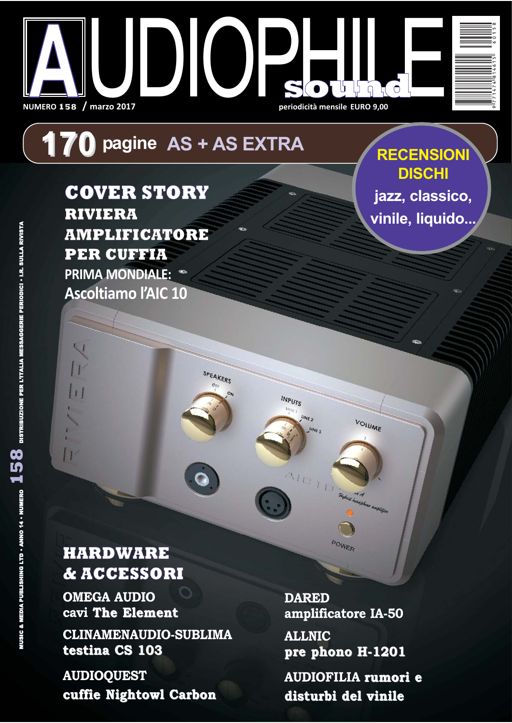

# **170** pagine AS + AS EXTRA

SPEAKERS

INPUTS

**COVER STORY RIVIERA AMPLIFICATORE PER CUFFIA PRIMA MONDIALE: Ascoltiamo l'AIC 10** 

**RECENSIONI DISCHI** jazz, classico, vinile, liquido...

## **HARDWARE & ACCESSORI**

**OMEGA AUDIO** cavi The Element

**CLINAMENAUDIO-SUBLIMA** testina CS 103

**AUDIOQUEST** cuffie Nightowl Carbon **DARED** amplificatore IA-50

**VOLUME** 

**ALLNIC** pre phono H-1201

**AUDIOFILIA rumori e** disturbi del vinile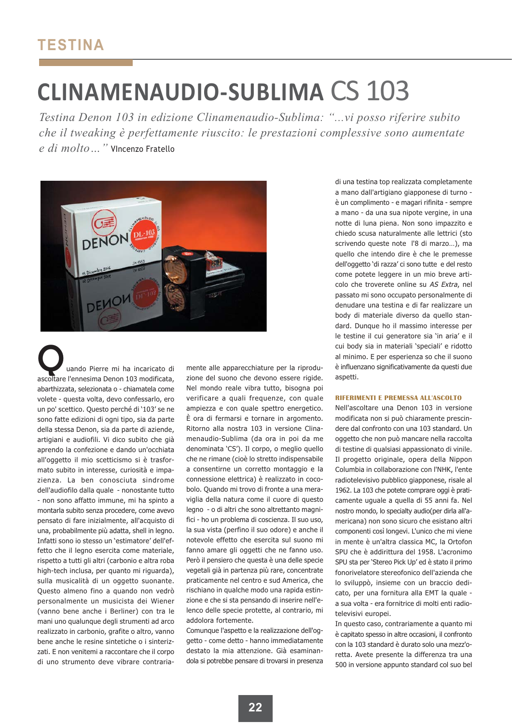# **CLINAMENAUDIO-SUBLIMA CS 103**

Testina Denon 103 in edizione Clinamenaudio-Sublima: "...vi posso riferire subito che il tweaking è perfettamente riuscito: le prestazioni complessive sono aumentate e di molto ..." Vincenzo Fratello



uando Pierre mi ha incaricato di ascoltare l'ennesima Denon 103 modificata, abarthizzata, selezionata o - chiamatela come volete - questa volta, devo confessarlo, ero un po' scettico. Questo perché di '103' se ne sono fatte edizioni di ogni tipo, sia da parte della stessa Denon, sia da parte di aziende, artigiani e audiofili. Vi dico subito che già aprendo la confezione e dando un'occhiata all'oggetto il mio scetticismo si è trasformato subito in interesse, curiosità e impazienza. La ben conosciuta sindrome dell'audiofilo dalla quale - nonostante tutto - non sono affatto immune, mi ha spinto a montarla subito senza procedere, come avevo pensato di fare inizialmente, all'acquisto di una, probabilmente più adatta, shell in legno. Infatti sono io stesso un 'estimatore' dell'effetto che il legno esercita come materiale. rispetto a tutti gli altri (carbonio e altra roba high-tech inclusa, per quanto mi riguarda), sulla musicalità di un oggetto suonante. Questo almeno fino a quando non vedrò personalmente un musicista dei Wiener (vanno bene anche i Berliner) con tra le mani uno qualunque degli strumenti ad arco realizzato in carbonio, grafite o altro, vanno bene anche le resine sintetiche o i sinterizzati. E non venitemi a raccontare che il corpo di uno strumento deve vibrare contraria-

mente alle apparecchiature per la riproduzione del suono che devono essere rigide. Nel mondo reale vibra tutto, bisogna poi verificare a quali frequenze, con quale ampiezza e con quale spettro energetico. È ora di fermarsi e tornare in argomento. Ritorno alla nostra 103 in versione Clinamenaudio-Sublima (da ora in poi da me denominata 'CS'). Il corpo, o meglio quello che ne rimane (cioè lo stretto indispensabile a consentirne un corretto montaggio e la connessione elettrica) è realizzato in cocobolo. Quando mi trovo di fronte a una meraviglia della natura come il cuore di questo legno - o di altri che sono altrettanto magnifici - ho un problema di coscienza. Il suo uso, la sua vista (perfino il suo odore) e anche il notevole effetto che esercita sul suono mi fanno amare gli oggetti che ne fanno uso. Però il pensiero che questa è una delle specie vegetali già in partenza più rare, concentrate praticamente nel centro e sud America, che rischiano in qualche modo una rapida estinzione e che si sta pensando di inserire nell'elenco delle specie protette, al contrario, mi addolora fortemente.

Comunque l'aspetto e la realizzazione dell'oggetto - come detto - hanno immediatamente destato la mia attenzione. Già esaminandola si potrebbe pensare di trovarsi in presenza di una testina top realizzata completamente a mano dall'artigiano giapponese di turno è un complimento - e magari rifinita - sempre a mano - da una sua nipote vergine, in una notte di luna piena. Non sono impazzito e chiedo scusa naturalmente alle lettrici (sto scrivendo queste note l'8 di marzo...), ma quello che intendo dire è che le premesse dell'oggetto 'di razza' ci sono tutte e del resto come potete leggere in un mio breve articolo che troverete online su AS Extra, nel passato mi sono occupato personalmente di denudare una testina e di far realizzare un body di materiale diverso da quello standard. Dungue ho il massimo interesse per le testine il cui generatore sia 'in aria' e il cui body sia in materiali 'speciali' e ridotto al minimo. E per esperienza so che il suono è influenzano significativamente da questi due aspetti.

#### RIFERIMENTI E PREMESSA ALL'ASCOLTO

Nell'ascoltare una Denon 103 in versione modificata non si può chiaramente prescindere dal confronto con una 103 standard. Un oggetto che non può mancare nella raccolta di testine di qualsiasi appassionato di vinile. Il progetto originale, opera della Nippon Columbia in collaborazione con l'NHK, l'ente radiotelevisivo pubblico giapponese, risale al 1962. La 103 che potete comprare oggi è praticamente uguale a quella di 55 anni fa. Nel nostro mondo, lo specialty audio(per dirla all'americana) non sono sicuro che esistano altri componenti così longevi. L'unico che mi viene in mente è un'altra classica MC, la Ortofon SPU che è addirittura del 1958. L'acronimo SPU sta per 'Stereo Pick Up' ed è stato il primo fonorivelatore stereofonico dell'azienda che lo sviluppò, insieme con un braccio dedicato, per una fornitura alla EMT la quale a sua volta - era fornitrice di molti enti radiotelevisivi europei.

In questo caso, contrariamente a quanto mi è capitato spesso in altre occasioni, il confronto con la 103 standard è durato solo una mezz'oretta. Avete presente la differenza tra una 500 in versione appunto standard col suo bel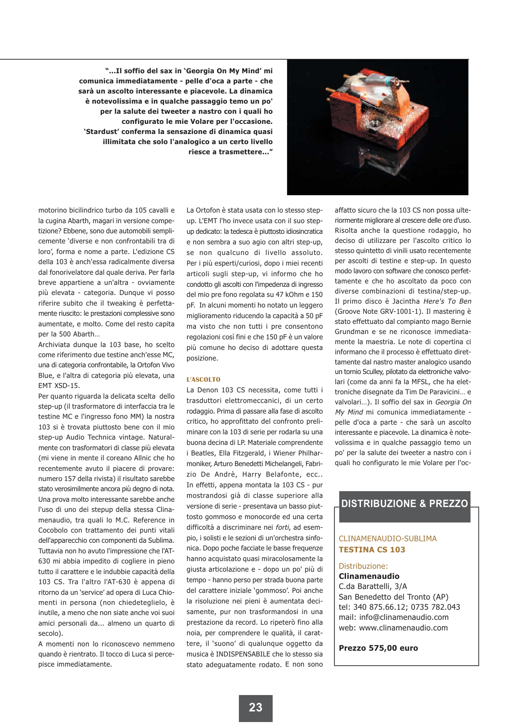"...Il soffio del sax in 'Georgia On My Mind' mi comunica immediatamente - pelle d'oca a parte - che sarà un ascolto interessante e piacevole. La dinamica è notevolissima e in qualche passaggio temo un po' per la salute dei tweeter a nastro con i quali ho configurato le mie Volare per l'occasione. 'Stardust' conferma la sensazione di dinamica quasi illimitata che solo l'analogico a un certo livello riesce a trasmettere..."



motorino bicilindrico turbo da 105 cavalli e la cugina Abarth, magari in versione competizione? Ebbene, sono due automobili semplicemente 'diverse e non confrontabili tra di loro', forma e nome a parte. L'edizione CS della 103 è anch'essa radicalmente diversa dal fonorivelatore dal quale deriva. Per farla breve appartiene a un'altra - ovviamente più elevata - categoria. Dunque vi posso riferire subito che il tweaking è perfettamente riuscito: le prestazioni complessive sono aumentate, e molto. Come del resto capita per la 500 Abarth...

Archiviata dunque la 103 base, ho scelto come riferimento due testine anch'esse MC. una di categoria confrontabile, la Ortofon Vivo Blue, e l'altra di categoria più elevata, una EMT XSD-15.

Per quanto riguarda la delicata scelta dello step-up (il trasformatore di interfaccia tra le testine MC e l'ingresso fono MM) la nostra 103 si è trovata piuttosto bene con il mio step-up Audio Technica vintage. Naturalmente con trasformatori di classe più elevata (mi viene in mente il coreano Allnic che ho recentemente avuto il piacere di provare: numero 157 della rivista) il risultato sarebbe stato verosimilmente ancora più degno di nota. Una prova molto interessante sarebbe anche l'uso di uno dei stepup della stessa Clinamenaudio, tra quali lo M.C. Reference in Cocobolo con trattamento dei punti vitali dell'apparecchio con componenti da Sublima. Tuttavia non ho avuto l'impressione che l'AT-630 mi abbia impedito di cogliere in pieno tutto il carattere e le indubbie capacità della 103 CS. Tra l'altro l'AT-630 è appena di ritorno da un 'service' ad opera di Luca Chiomenti in persona (non chiedeteglielo, è inutile, a meno che non siate anche voi suoi amici personali da... almeno un quarto di secolo).

A momenti non lo riconoscevo nemmeno quando è rientrato. Il tocco di Luca si percepisce immediatamente.

La Ortofon è stata usata con lo stesso stepup. L'EMT l'ho invece usata con il suo stepup dedicato: la tedesca è piuttosto idiosincratica e non sembra a suo agio con altri step-up, se non qualcuno di livello assoluto. Per i più esperti/curiosi, dopo i miei recenti articoli sugli step-up, vi informo che ho condotto gli ascolti con l'impedenza di ingresso del mio pre fono regolata su 47 kOhm e 150 pF. In alcuni momenti ho notato un leggero miglioramento riducendo la capacità a 50 pF ma visto che non tutti i pre consentono regolazioni così fini e che 150 pF è un valore più comune ho deciso di adottare questa posizione.

#### **L'ASCOLTO**

La Denon 103 CS necessita, come tutti i trasduttori elettromeccanici, di un certo rodaggio. Prima di passare alla fase di ascolto critico, ho approfittato del confronto preliminare con la 103 di serie per rodarla su una buona decina di LP. Materiale comprendente i Beatles, Ella Fitzgerald, i Wiener Philharmoniker, Arturo Benedetti Michelangeli, Fabrizio De Andrè, Harry Belafonte, ecc.. In effetti, appena montata la 103 CS - pur mostrandosi già di classe superiore alla versione di serie - presentava un basso piuttosto gommoso e monocorde ed una certa difficoltà a discriminare nei forti, ad esempio, i solisti e le sezioni di un'orchestra sinfonica. Dopo poche facciate le basse frequenze hanno acquistato quasi miracolosamente la giusta articolazione e - dopo un po' più di tempo - hanno perso per strada buona parte del carattere iniziale 'gommoso'. Poi anche la risoluzione nei pieni è aumentata decisamente, pur non trasformandosi in una prestazione da record. Lo ripeterò fino alla noia, per comprendere le qualità, il carattere, il 'suono' di qualunque oggetto da musica è INDISPENSABILE che lo stesso sia stato adequatamente rodato. E non sono affatto sicuro che la 103 CS non possa ulteriormente migliorare al crescere delle ore d'uso. Risolta anche la questione rodaggio, ho deciso di utilizzare per l'ascolto critico lo stesso quintetto di vinili usato recentemente per ascolti di testine e step-up. In questo modo lavoro con software che conosco perfettamente e che ho ascoltato da poco con diverse combinazioni di testina/step-up. Il primo disco è Jacintha Here's To Ben (Groove Note GRV-1001-1). Il mastering è stato effettuato dal compianto mago Bernie Grundman e se ne riconosce immediatamente la maestria. Le note di copertina ci informano che il processo è effettuato direttamente dal nastro master analogico usando un tornio Sculley, pilotato da elettroniche valvolari (come da anni fa la MFSL, che ha elettroniche disegnate da Tim De Paravicini... e valvolari...). Il soffio del sax in Georgia On My Mind mi comunica immediatamente pelle d'oca a parte - che sarà un ascolto interessante e piacevole. La dinamica è notevolissima e in qualche passaggio temo un po' per la salute dei tweeter a nastro con i quali ho configurato le mie Volare per l'oc-

### **DISTRIBUZIONE & PREZZO**

#### CLINAMENAUDIO-SUBLIMA **TESTINA CS 103**

#### Distribuzione:

#### **Clinamenaudio**

C.da Barattelli, 3/A San Benedetto del Tronto (AP) tel: 340 875.66.12; 0735 782.043 mail: info@clinamenaudio.com web: www.clinamenaudio.com

#### Prezzo 575,00 euro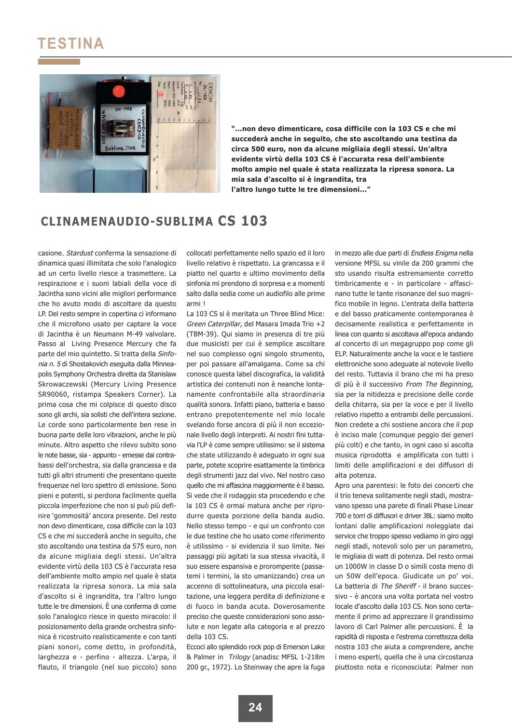## **TESTINA**



"...non devo dimenticare, cosa difficile con la 103 CS e che mi succederà anche in seguito, che sto ascoltando una testina da circa 500 euro, non da alcune migliaia degli stessi. Un'altra evidente virtù della 103 CS è l'accurata resa dell'ambiente molto ampio nel quale è stata realizzata la ripresa sonora. La mia sala d'ascolto si è ingrandita, tra l'altro lungo tutte le tre dimensioni..."

### **CLINAMENAUDIO-SUBLIMA CS 103**

casione. Stardust conferma la sensazione di dinamica quasi illimitata che solo l'analogico ad un certo livello riesce a trasmettere. La respirazione e i suoni labiali della voce di Jacintha sono vicini alle migliori performance che ho avuto modo di ascoltare da questo LP. Del resto sempre in copertina ci informano che il microfono usato per captare la voce di Jacintha è un Neumann M-49 valvolare. Passo al Living Presence Mercury che fa parte del mio quintetto. Si tratta della Sinfonia n. 5 di Shostakovich eseguita dalla Minneanolis Symphony Orchestra diretta da Stanislaw Skrowaczewski (Mercury Living Presence SR90060, ristampa Speakers Corner). La prima cosa che mi colpisce di questo disco sono gli archi, sia solisti che dell'intera sezione. Le corde sono particolarmente hen rese in buona parte delle loro vibrazioni, anche le più minute. Altro aspetto che rilevo subito sono le note basse, sia - appunto - emesse dai contrabassi dell'orchestra, sia dalla grancassa e da tutti gli altri strumenti che presentano queste frequenze nel loro spettro di emissione. Sono pieni e potenti, si perdona facilmente quella piccola imperfezione che non si può più definire 'gommosità' ancora presente. Del resto non devo dimenticare, cosa difficile con la 103 CS e che mi succederà anche in seguito, che sto ascoltando una testina da 575 euro, non da alcune migliaia degli stessi. Un'altra evidente virtù della 103 CS è l'accurata resa dell'ambiente molto ampio nel quale è stata realizzata la ripresa sonora. La mia sala d'ascolto si è ingrandita, tra l'altro lungo tutte le tre dimensioni. È una conferma di come solo l'analogico riesce in questo miracolo: il posizionamento della grande orchestra sinfonica è ricostruito realisticamente e con tanti piani sonori, come detto, in profondità, larghezza e - perfino - altezza. L'arpa, il flauto, il triangolo (nel suo piccolo) sono

collocati perfettamente nello spazio ed il loro livello relativo è rispettato. La grancassa e il piatto nel quarto e ultimo movimento della sinfonia mi prendono di sorpresa e a momenti salto dalla sedia come un audiofilo alle prime armi!

La 103 CS si è meritata un Three Blind Mice: Green Caterpillar, del Masara Imada Trio +2 (TBM-39). Qui siamo in presenza di tre più due musicisti per cui è semplice ascoltare nel suo complesso ogni singolo strumento, per poi passare all'amalgama. Come sa chi conosce questa label discografica. La validità artistica dei contenuti non è neanche lontanamente confrontabile alla straordinaria qualità sonora. Infatti piano, batteria e basso entrano prepotentemente nel mio locale svelando forse ancora di più il non eccezionale livello degli interpreti. Ai nostri fini tuttavia l'LP è come sempre utilissimo: se il sistema che state utilizzando è adeguato in ogni sua parte, potete scoprire esattamente la timbrica degli strumenti jazz dal vivo. Nel nostro caso quello che mi affascina maggiormente è il basso. Si vede che il rodaggio sta procedendo e che la 103 CS è ormai matura anche per riprodurre questa porzione della banda audio. Nello stesso tempo - e qui un confronto con le due testine che ho usato come riferimento è utilissimo - si evidenzia il suo limite. Nei passaggi più agitati la sua stessa vivacità, il suo essere espansiva e prorompente (passatemi i termini, la sto umanizzando) crea un accenno di sottolineatura, una piccola esaltazione, una leggera perdita di definizione e di fuoco in banda acuta. Doverosamente preciso che queste considerazioni sono assolute e non legate alla categoria e al prezzo della 103 CS.

Eccoci allo splendido rock pop di Emerson Lake & Palmer in Trilogy (anadisc MFSL 1-218m 200 gr., 1972). Lo Steinway che apre la fuga in mezzo alle due parti di Endless Enigma nella versione MFSL su vinile da 200 grammi che sto usando risulta estremamente corretto timbricamente e - in particolare - affascinano tutte le tante risonanze del suo magnifico mobile in legno. L'entrata della batteria e del basso praticamente contemporanea è decisamente realistica e perfettamente in linea con quanto si ascoltava all'epoca andando al concerto di un megagruppo pop come gli ELP. Naturalmente anche la voce e le tastiere elettroniche sono adequate al notevole livello del resto. Tuttavia il brano che mi ha preso di più è il successivo From The Beginning, sia per la nitidezza e precisione delle corde della chitarra, sia per la voce e per il livello relativo rispetto a entrambi delle percussioni. Non credete a chi sostiene ancora che il pop è inciso male (comunque peggio dei generi più colti) e che tanto, in ogni caso si ascolta musica riprodotta e amplificata con tutti i limiti delle amplificazioni e dei diffusori di alta potenza.

Apro una parentesi: le foto dei concerti che il trio teneva solitamente negli stadi, mostravano spesso una parete di finali Phase Linear 700 e torri di diffusori e driver JBL: siamo molto lontani dalle amplificazioni noleggiate dai service che troppo spesso vediamo in giro oggi negli stadi, notevoli solo per un parametro, le migliaia di watt di potenza. Del resto ormai un 1000W in classe D o simili costa meno di un 50W dell'epoca. Giudicate un po' voi. La batteria di The Sheriff - il brano successivo - è ancora una volta portata nel vostro locale d'ascolto dalla 103 CS. Non sono certamente il primo ad apprezzare il grandissimo lavoro di Carl Palmer alle percussioni. È la rapidità di risposta e l'estrema correttezza della nostra 103 che aiuta a comprendere, anche i meno esperti, quella che è una circostanza piuttosto nota e riconosciuta: Palmer non